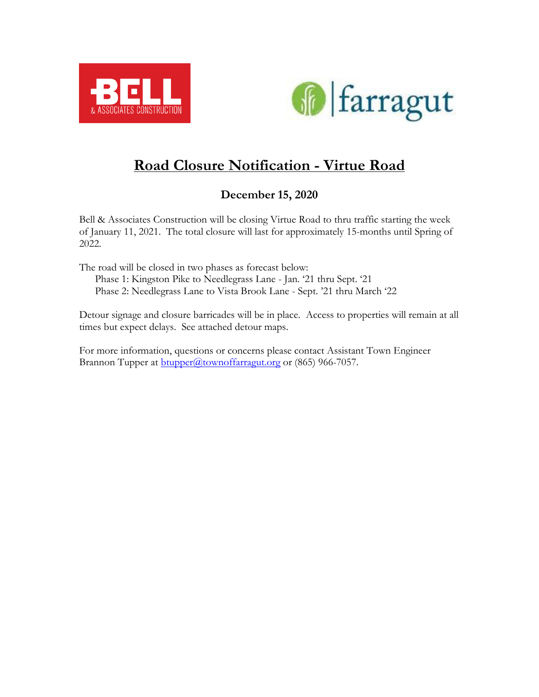



## **Road Closure Notification - Virtue Road**

## **December 15, 2020**

Bell & Associates Construction will be closing Virtue Road to thru traffic starting the week of January 11, 2021. The total closure will last for approximately 15-months until Spring of 2022.

The road will be closed in two phases as forecast below: Phase 1: Kingston Pike to Needlegrass Lane - Jan. '21 thru Sept. '21 Phase 2: Needlegrass Lane to Vista Brook Lane - Sept. '21 thru March '22

Detour signage and closure barricades will be in place. Access to properties will remain at all times but expect delays. See attached detour maps.

For more information, questions or concerns please contact Assistant Town Engineer Brannon Tupper at **btupper@townoffarragut.org** or (865) 966-7057.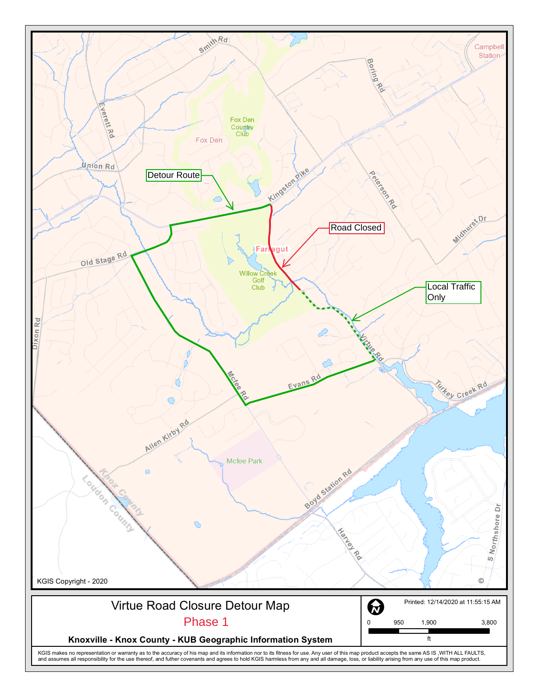